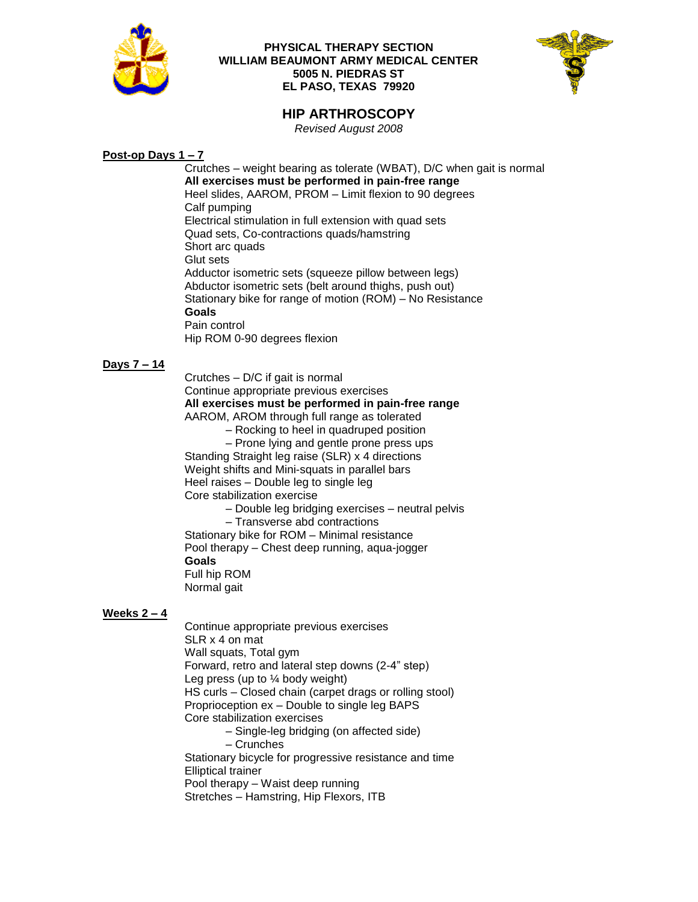

### **PHYSICAL THERAPY SECTION WILLIAM BEAUMONT ARMY MEDICAL CENTER 5005 N. PIEDRAS ST EL PASO, TEXAS 79920**



# **HIP ARTHROSCOPY**

*Revised August 2008*

## **Post-op Days 1 – 7**

Crutches – weight bearing as tolerate (WBAT), D/C when gait is normal **All exercises must be performed in pain-free range** Heel slides, AAROM, PROM – Limit flexion to 90 degrees Calf pumping Electrical stimulation in full extension with quad sets Quad sets, Co-contractions quads/hamstring Short arc quads Glut sets Adductor isometric sets (squeeze pillow between legs) Abductor isometric sets (belt around thighs, push out) Stationary bike for range of motion (ROM) – No Resistance **Goals** Pain control Hip ROM 0-90 degrees flexion

### **Days 7 – 14**

Crutches – D/C if gait is normal Continue appropriate previous exercises **All exercises must be performed in pain-free range** AAROM, AROM through full range as tolerated – Rocking to heel in quadruped position – Prone lying and gentle prone press ups

Standing Straight leg raise (SLR) x 4 directions Weight shifts and Mini-squats in parallel bars Heel raises – Double leg to single leg Core stabilization exercise

– Double leg bridging exercises – neutral pelvis

– Transverse abd contractions

Stationary bike for ROM – Minimal resistance Pool therapy – Chest deep running, aqua-jogger **Goals** Full hip ROM Normal gait

### **Weeks 2 – 4**

Continue appropriate previous exercises SLR x 4 on mat Wall squats, Total gym Forward, retro and lateral step downs (2-4" step) Leg press (up to  $\frac{1}{4}$  body weight) HS curls – Closed chain (carpet drags or rolling stool) Proprioception ex – Double to single leg BAPS Core stabilization exercises – Single-leg bridging (on affected side) – Crunches

Stationary bicycle for progressive resistance and time Elliptical trainer Pool therapy – Waist deep running

Stretches – Hamstring, Hip Flexors, ITB